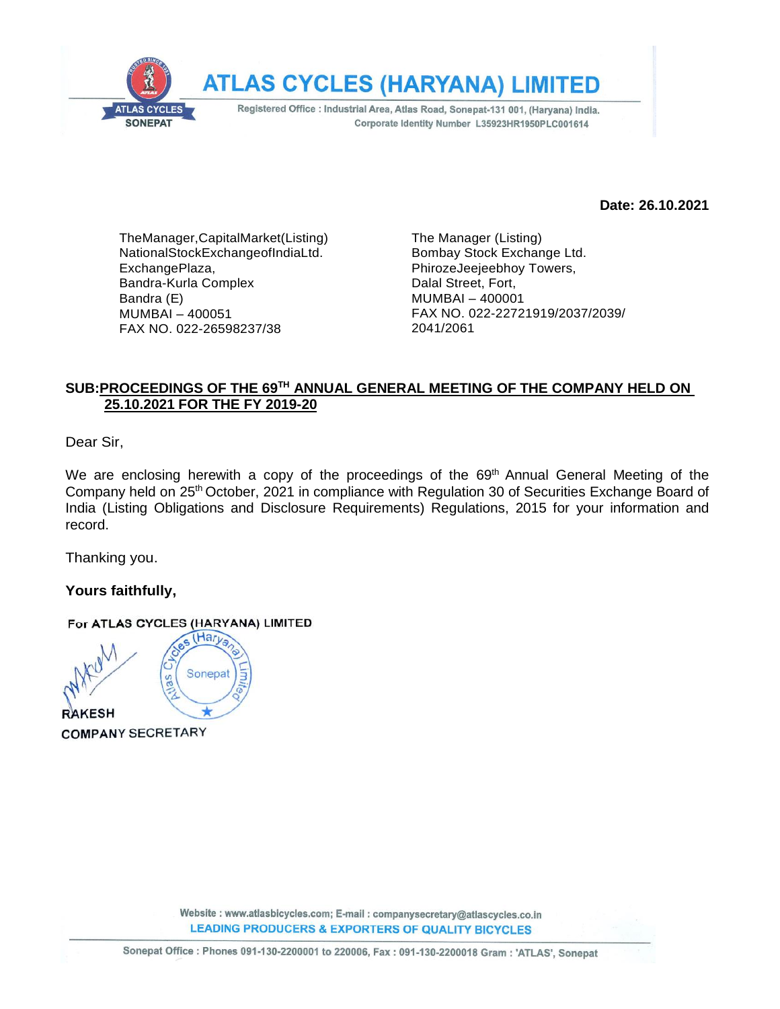

**Date: 26.10.2021**

TheManager,CapitalMarket(Listing) NationalStockExchangeofIndiaLtd. ExchangePlaza, Bandra-Kurla Complex Bandra (E) MUMBAI – 400051 FAX NO. 022-26598237/38

The Manager (Listing) Bombay Stock Exchange Ltd. PhirozeJeejeebhoy Towers, Dalal Street, Fort, MUMBAI – 400001 FAX NO. 022-22721919/2037/2039/ 2041/2061

# **SUB:PROCEEDINGS OF THE 69 TH ANNUAL GENERAL MEETING OF THE COMPANY HELD ON 25.10.2021 FOR THE FY 2019-20**

Dear Sir,

We are enclosing herewith a copy of the proceedings of the 69<sup>th</sup> Annual General Meeting of the Company held on 25th October, 2021 in compliance with Regulation 30 of Securities Exchange Board of India (Listing Obligations and Disclosure Requirements) Regulations, 2015 for your information and record.

Thanking you.

**Yours faithfully,**

#### For ATLAS CYCLES (HARYANA) LIMITED

s (Harya Sonepat as **RAKESH** 

**COMPANY SECRETARY**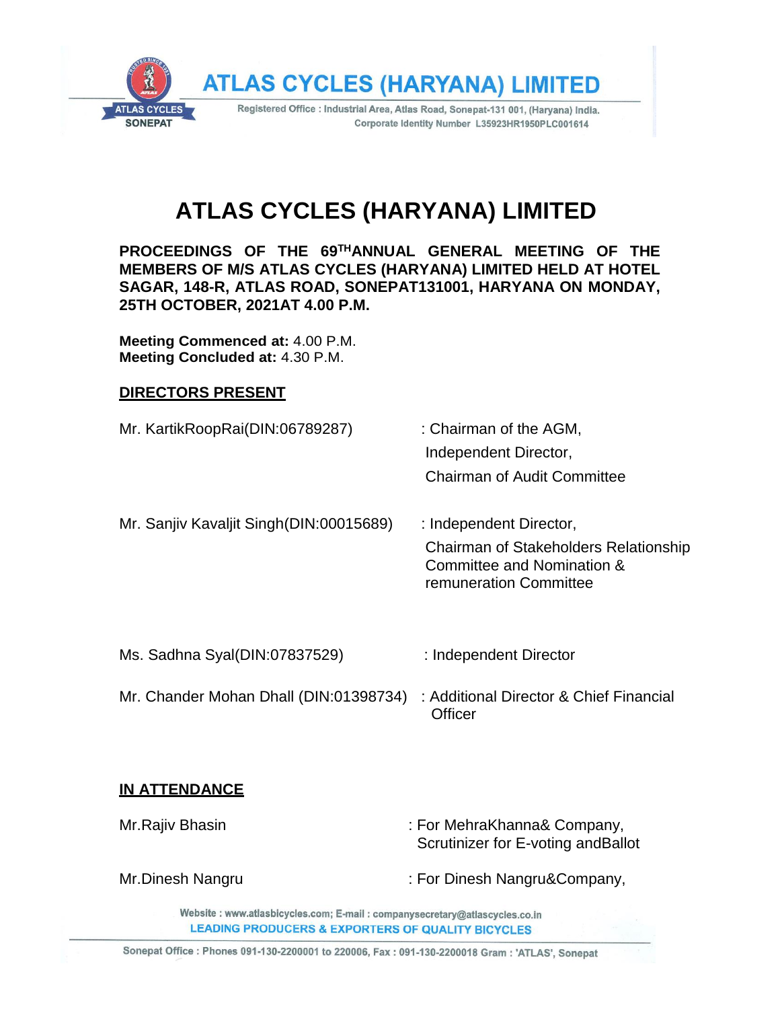

# **ATLAS CYCLES (HARYANA) LIMITED**

**PROCEEDINGS OF THE 69THANNUAL GENERAL MEETING OF THE MEMBERS OF M/S ATLAS CYCLES (HARYANA) LIMITED HELD AT HOTEL SAGAR, 148-R, ATLAS ROAD, SONEPAT131001, HARYANA ON MONDAY, 25TH OCTOBER, 2021AT 4.00 P.M.**

**Meeting Commenced at:** 4.00 P.M. **Meeting Concluded at:** 4.30 P.M.

### **DIRECTORS PRESENT**

- Mr. KartikRoopRai(DIN:06789287) : Chairman of the AGM, Independent Director, Chairman of Audit Committee Mr. Sanjiv Kavaljit Singh(DIN:00015689) : Independent Director, Chairman of Stakeholders Relationship Committee and Nomination & remuneration Committee Ms. Sadhna Syal(DIN:07837529) : Independent Director
- Mr. Chander Mohan Dhall (DIN:01398734) : Additional Director & Chief Financial **Officer**

### **IN ATTENDANCE**

- Mr.Rajiv Bhasin **in the Company, in the Company,**  $\blacksquare$  For MehraKhanna& Company, Scrutinizer for E-voting andBallot
- 
- Mr.Dinesh Nangru : For Dinesh Nangru&Company,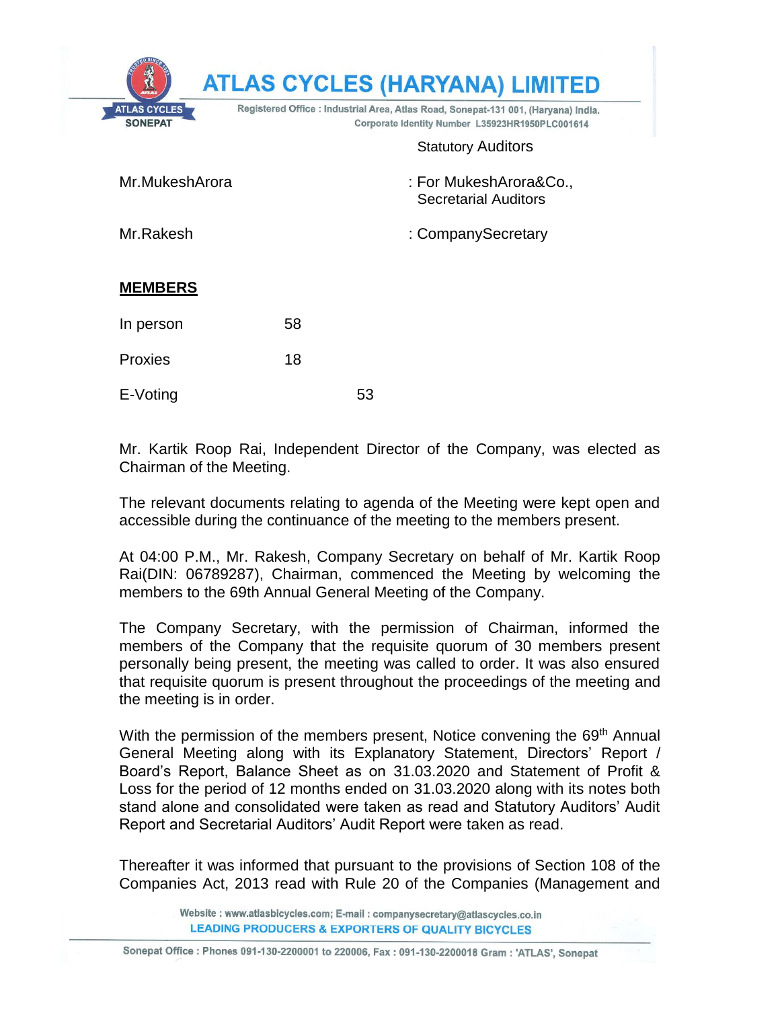|                                       |                                                                                                                                       | <b>ATLAS CYCLES (HARYANA) LIMITED</b>                 |  |
|---------------------------------------|---------------------------------------------------------------------------------------------------------------------------------------|-------------------------------------------------------|--|
| <b>ATLAS CYCLES</b><br><b>SONEPAT</b> | Registered Office : Industrial Area, Atlas Road, Sonepat-131 001, (Haryana) India.<br>Corporate Identity Number L35923HR1950PLC001614 |                                                       |  |
|                                       |                                                                                                                                       | <b>Statutory Auditors</b>                             |  |
| Mr.MukeshArora                        |                                                                                                                                       | : For MukeshArora&Co.,<br><b>Secretarial Auditors</b> |  |
| Mr.Rakesh                             |                                                                                                                                       | : CompanySecretary                                    |  |
| <b>MEMBERS</b>                        |                                                                                                                                       |                                                       |  |
| In person                             | 58                                                                                                                                    |                                                       |  |
| Proxies                               | 18                                                                                                                                    |                                                       |  |
| E-Voting                              | 53                                                                                                                                    |                                                       |  |

Mr. Kartik Roop Rai, Independent Director of the Company, was elected as Chairman of the Meeting.

The relevant documents relating to agenda of the Meeting were kept open and accessible during the continuance of the meeting to the members present.

At 04:00 P.M., Mr. Rakesh, Company Secretary on behalf of Mr. Kartik Roop Rai(DIN: 06789287), Chairman, commenced the Meeting by welcoming the members to the 69th Annual General Meeting of the Company.

The Company Secretary, with the permission of Chairman, informed the members of the Company that the requisite quorum of 30 members present personally being present, the meeting was called to order. It was also ensured that requisite quorum is present throughout the proceedings of the meeting and the meeting is in order.

With the permission of the members present, Notice convening the 69<sup>th</sup> Annual General Meeting along with its Explanatory Statement, Directors' Report / Board's Report, Balance Sheet as on 31.03.2020 and Statement of Profit & Loss for the period of 12 months ended on 31.03.2020 along with its notes both stand alone and consolidated were taken as read and Statutory Auditors' Audit Report and Secretarial Auditors' Audit Report were taken as read.

Thereafter it was informed that pursuant to the provisions of Section 108 of the Companies Act, 2013 read with Rule 20 of the Companies (Management and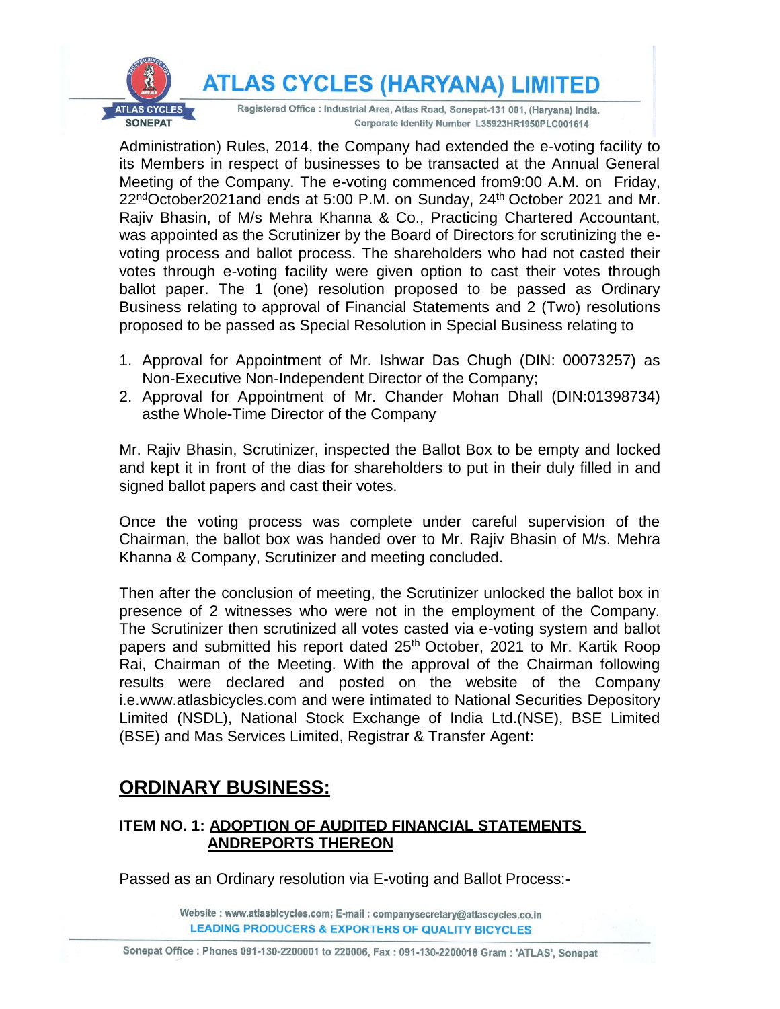**ATLAS CYCLES (HARYANA) LIMITED** 



Registered Office : Industrial Area, Atlas Road, Sonepat-131 001, (Haryana) India. Corporate Identity Number L35923HR1950PLC001614

Administration) Rules, 2014, the Company had extended the e-voting facility to its Members in respect of businesses to be transacted at the Annual General Meeting of the Company. The e-voting commenced from9:00 A.M. on Friday, 22<sup>nd</sup>October2021and ends at 5:00 P.M. on Sunday, 24<sup>th</sup> October 2021 and Mr. Rajiv Bhasin, of M/s Mehra Khanna & Co., Practicing Chartered Accountant, was appointed as the Scrutinizer by the Board of Directors for scrutinizing the evoting process and ballot process. The shareholders who had not casted their votes through e-voting facility were given option to cast their votes through ballot paper. The 1 (one) resolution proposed to be passed as Ordinary Business relating to approval of Financial Statements and 2 (Two) resolutions proposed to be passed as Special Resolution in Special Business relating to

- 1. Approval for Appointment of Mr. Ishwar Das Chugh (DIN: 00073257) as Non-Executive Non-Independent Director of the Company;
- 2. Approval for Appointment of Mr. Chander Mohan Dhall (DIN:01398734) asthe Whole-Time Director of the Company

Mr. Rajiv Bhasin, Scrutinizer, inspected the Ballot Box to be empty and locked and kept it in front of the dias for shareholders to put in their duly filled in and signed ballot papers and cast their votes.

Once the voting process was complete under careful supervision of the Chairman, the ballot box was handed over to Mr. Rajiv Bhasin of M/s. Mehra Khanna & Company, Scrutinizer and meeting concluded.

Then after the conclusion of meeting, the Scrutinizer unlocked the ballot box in presence of 2 witnesses who were not in the employment of the Company. The Scrutinizer then scrutinized all votes casted via e-voting system and ballot papers and submitted his report dated 25<sup>th</sup> October, 2021 to Mr. Kartik Roop Rai, Chairman of the Meeting. With the approval of the Chairman following results were declared and posted on the website of the Company i.e.www.atlasbicycles.com and were intimated to National Securities Depository Limited (NSDL), National Stock Exchange of India Ltd.(NSE), BSE Limited (BSE) and Mas Services Limited, Registrar & Transfer Agent:

# **ORDINARY BUSINESS:**

# **ITEM NO. 1: ADOPTION OF AUDITED FINANCIAL STATEMENTS ANDREPORTS THEREON**

Passed as an Ordinary resolution via E-voting and Ballot Process:-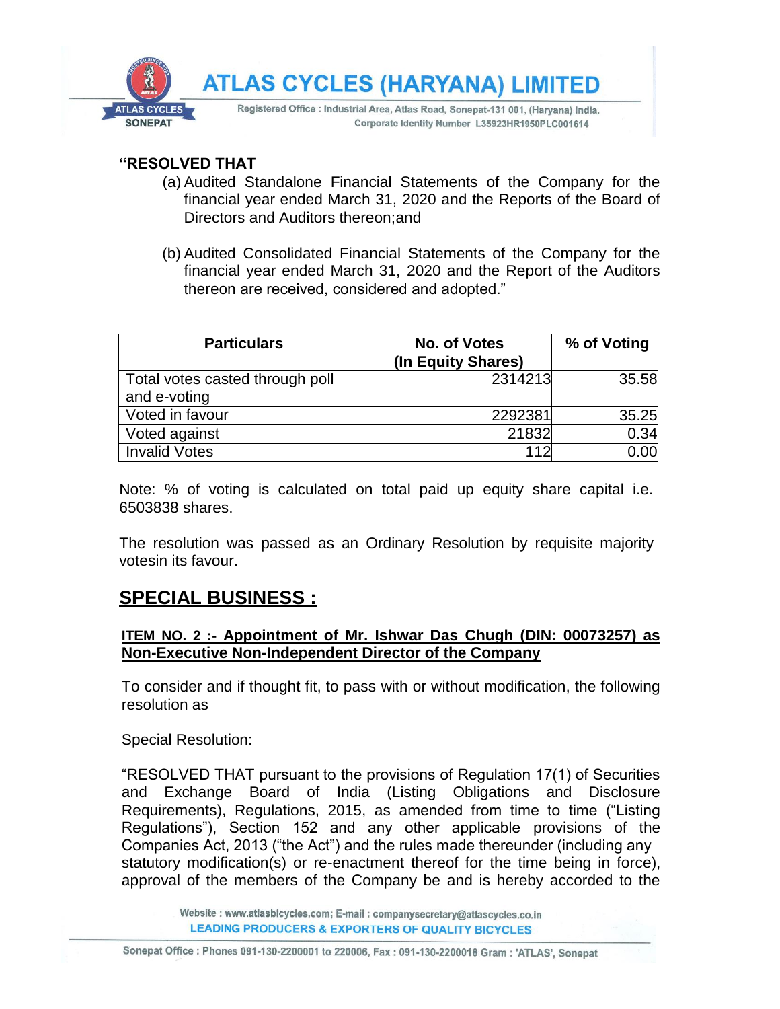

## **"RESOLVED THAT**

- (a) Audited Standalone Financial Statements of the Company for the financial year ended March 31, 2020 and the Reports of the Board of Directors and Auditors thereon;and
- (b) Audited Consolidated Financial Statements of the Company for the financial year ended March 31, 2020 and the Report of the Auditors thereon are received, considered and adopted."

| <b>Particulars</b>              | No. of Votes<br>(In Equity Shares) | % of Voting |
|---------------------------------|------------------------------------|-------------|
| Total votes casted through poll | 2314213                            | 35.58       |
| and e-voting                    |                                    |             |
| Voted in favour                 | 2292381                            | 35.25       |
| Voted against                   | 21832                              | 0.34        |
| <b>Invalid Votes</b>            | 112                                | 0.00        |

Note: % of voting is calculated on total paid up equity share capital i.e. 6503838 shares.

The resolution was passed as an Ordinary Resolution by requisite majority votesin its favour.

# **SPECIAL BUSINESS :**

### **ITEM NO. 2 :- Appointment of Mr. Ishwar Das Chugh (DIN: 00073257) as Non-Executive Non-Independent Director of the Company**

To consider and if thought fit, to pass with or without modification, the following resolution as

Special Resolution:

"RESOLVED THAT pursuant to the provisions of Regulation 17(1) of Securities and Exchange Board of India (Listing Obligations and Disclosure Requirements), Regulations, 2015, as amended from time to time ("Listing Regulations"), Section 152 and any other applicable provisions of the Companies Act, 2013 ("the Act") and the rules made thereunder (including any statutory modification(s) or re-enactment thereof for the time being in force), approval of the members of the Company be and is hereby accorded to the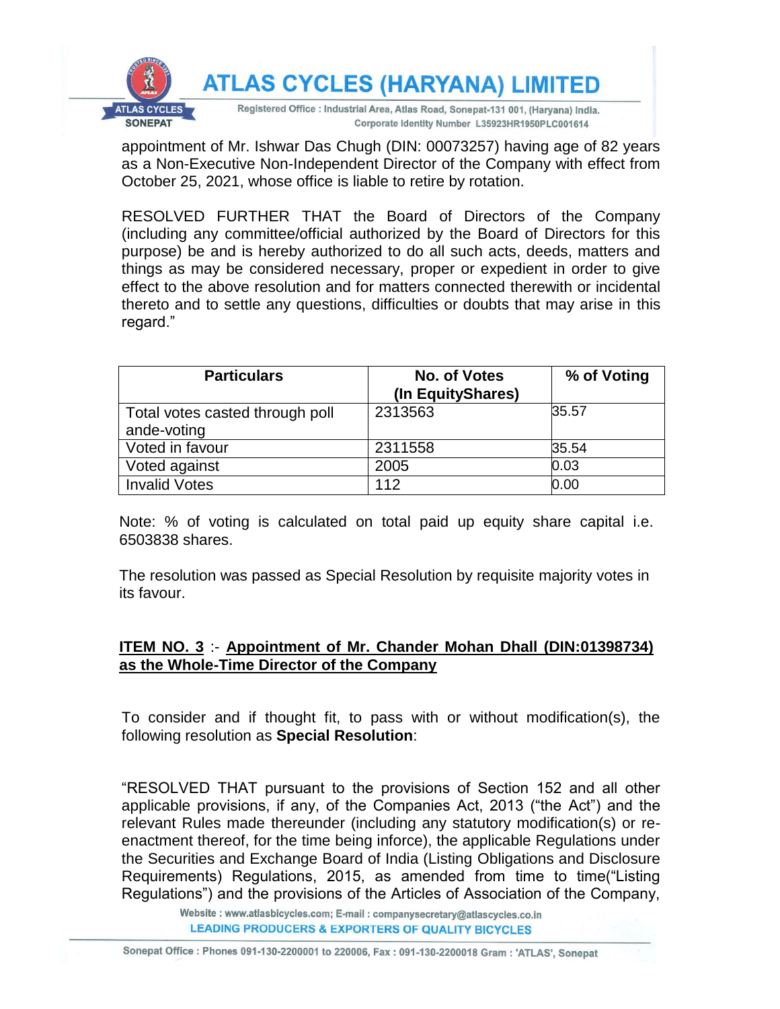

appointment of Mr. Ishwar Das Chugh (DIN: 00073257) having age of 82 years as a Non-Executive Non-Independent Director of the Company with effect from October 25, 2021, whose office is liable to retire by rotation.

RESOLVED FURTHER THAT the Board of Directors of the Company (including any committee/official authorized by the Board of Directors for this purpose) be and is hereby authorized to do all such acts, deeds, matters and things as may be considered necessary, proper or expedient in order to give effect to the above resolution and for matters connected therewith or incidental thereto and to settle any questions, difficulties or doubts that may arise in this regard."

| <b>Particulars</b>              | No. of Votes      | % of Voting |
|---------------------------------|-------------------|-------------|
|                                 | (In EquityShares) |             |
| Total votes casted through poll | 2313563           | 35.57       |
| ande-voting                     |                   |             |
| Voted in favour                 | 2311558           | 35.54       |
| Voted against                   | 2005              | 0.03        |
| <b>Invalid Votes</b>            | 112               | 0.00        |

Note: % of voting is calculated on total paid up equity share capital i.e. 6503838 shares.

The resolution was passed as Special Resolution by requisite majority votes in its favour.

# **ITEM NO. 3** :- **Appointment of Mr. Chander Mohan Dhall (DIN:01398734) as the Whole-Time Director of the Company**

To consider and if thought fit, to pass with or without modification(s), the following resolution as **Special Resolution**:

"RESOLVED THAT pursuant to the provisions of Section 152 and all other applicable provisions, if any, of the Companies Act, 2013 ("the Act") and the relevant Rules made thereunder (including any statutory modification(s) or reenactment thereof, for the time being inforce), the applicable Regulations under the Securities and Exchange Board of India (Listing Obligations and Disclosure Requirements) Regulations, 2015, as amended from time to time("Listing Regulations") and the provisions of the Articles of Association of the Company,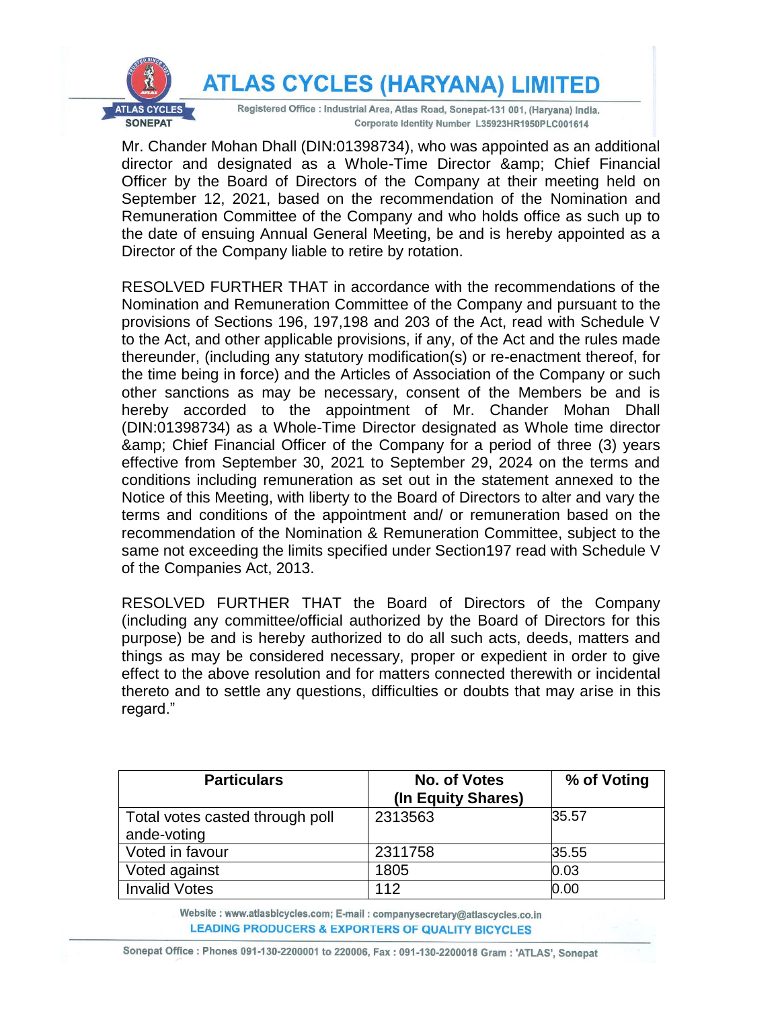**ATLAS CYCLES (HARYANA) LIMITED** 



Registered Office : Industrial Area, Atlas Road, Sonepat-131 001, (Haryana) India. Corporate Identity Number L35923HR1950PLC001614

Mr. Chander Mohan Dhall (DIN:01398734), who was appointed as an additional director and designated as a Whole-Time Director & amp; Chief Financial Officer by the Board of Directors of the Company at their meeting held on September 12, 2021, based on the recommendation of the Nomination and Remuneration Committee of the Company and who holds office as such up to the date of ensuing Annual General Meeting, be and is hereby appointed as a Director of the Company liable to retire by rotation.

RESOLVED FURTHER THAT in accordance with the recommendations of the Nomination and Remuneration Committee of the Company and pursuant to the provisions of Sections 196, 197,198 and 203 of the Act, read with Schedule V to the Act, and other applicable provisions, if any, of the Act and the rules made thereunder, (including any statutory modification(s) or re-enactment thereof, for the time being in force) and the Articles of Association of the Company or such other sanctions as may be necessary, consent of the Members be and is hereby accorded to the appointment of Mr. Chander Mohan Dhall (DIN:01398734) as a Whole-Time Director designated as Whole time director & amp; Chief Financial Officer of the Company for a period of three (3) years effective from September 30, 2021 to September 29, 2024 on the terms and conditions including remuneration as set out in the statement annexed to the Notice of this Meeting, with liberty to the Board of Directors to alter and vary the terms and conditions of the appointment and/ or remuneration based on the recommendation of the Nomination & Remuneration Committee, subject to the same not exceeding the limits specified under Section197 read with Schedule V of the Companies Act, 2013.

RESOLVED FURTHER THAT the Board of Directors of the Company (including any committee/official authorized by the Board of Directors for this purpose) be and is hereby authorized to do all such acts, deeds, matters and things as may be considered necessary, proper or expedient in order to give effect to the above resolution and for matters connected therewith or incidental thereto and to settle any questions, difficulties or doubts that may arise in this regard."

| <b>Particulars</b>                             | No. of Votes<br>(In Equity Shares) | % of Voting |
|------------------------------------------------|------------------------------------|-------------|
| Total votes casted through poll<br>ande-voting | 2313563                            | 35.57       |
| Voted in favour                                | 2311758                            | 35.55       |
| Voted against                                  | 1805                               | 0.03        |
| <b>Invalid Votes</b>                           | 112                                | 0.00        |